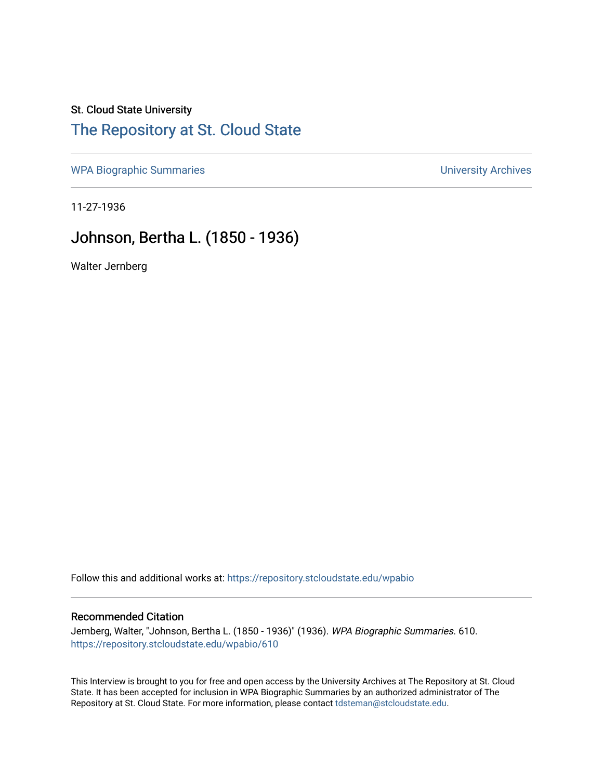## St. Cloud State University [The Repository at St. Cloud State](https://repository.stcloudstate.edu/)

[WPA Biographic Summaries](https://repository.stcloudstate.edu/wpabio) **WPA Biographic Summaries University Archives** 

11-27-1936

## Johnson, Bertha L. (1850 - 1936)

Walter Jernberg

Follow this and additional works at: [https://repository.stcloudstate.edu/wpabio](https://repository.stcloudstate.edu/wpabio?utm_source=repository.stcloudstate.edu%2Fwpabio%2F610&utm_medium=PDF&utm_campaign=PDFCoverPages) 

## Recommended Citation

Jernberg, Walter, "Johnson, Bertha L. (1850 - 1936)" (1936). WPA Biographic Summaries. 610. [https://repository.stcloudstate.edu/wpabio/610](https://repository.stcloudstate.edu/wpabio/610?utm_source=repository.stcloudstate.edu%2Fwpabio%2F610&utm_medium=PDF&utm_campaign=PDFCoverPages) 

This Interview is brought to you for free and open access by the University Archives at The Repository at St. Cloud State. It has been accepted for inclusion in WPA Biographic Summaries by an authorized administrator of The Repository at St. Cloud State. For more information, please contact [tdsteman@stcloudstate.edu.](mailto:tdsteman@stcloudstate.edu)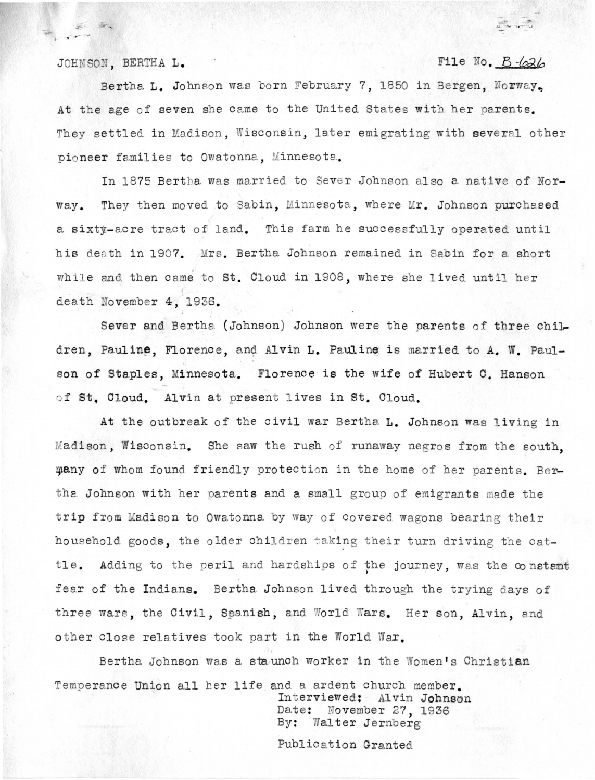JOHNSON. BERTHA L. **File No. B**  $-\frac{1}{2}$ 

Bertha L. Johnson was born February 7, 1850 in Bergen, Norway. At the age of seven she came to the United States with her parents. They settled in Madison, Wisconsin, later emigrating with several other pioneer families to Owatonna. Minnesota.

In 1875 Bertha was married to Sever Johnson also a native of Norway. They then moved to Sabin, Minnesota, where Mr. Johnson purchased a sixty-acre tract of land. This farm he successfully operated until his death in 1907. Mrs. Bertha Johnson remained in Sabin for a short while and then came to St. Cloud in 1908, where she lived until her death November 4, 1936.

Sever and Bertha (Johnson) Johnson were the parents of three children, Pauline, Florence, and Alvin L. Pauline is married to A. W. Paulson of Staples, Minnesota. Florence is the wife of Hubert C. Hanson of St. Cloud. Alvin at present lives in St. Cloud.

At the outbreak of the civil war Bertha L. Johnson was living in Madison, Wisconsin. She saw the rush of runaway negros from the south. many of whom found friendly protection in the home of her parents. Bertha Johnson with her parents and a small group of emigrants made the trip from Madison to Owatonna by way of covered wagons bearing their hous ehold goods, the older children taking their turn driving the cattle. Adding to the peril and hardships of the journey, was the constant fear of the Indians. Bertha Johnson lived through the trying days of three wars, the Civil, Spanish, and World Wars. Her son, Alvin, and other close relatives took part in the World War.

Bertha Johnson was a staunch worker in the Women's Christian Temperance Union all her life and a ardent church member.<br>Interviewed: Alvin Johnson

Date: November 27, 1936 By: Walter Jernberg

Publication Granted